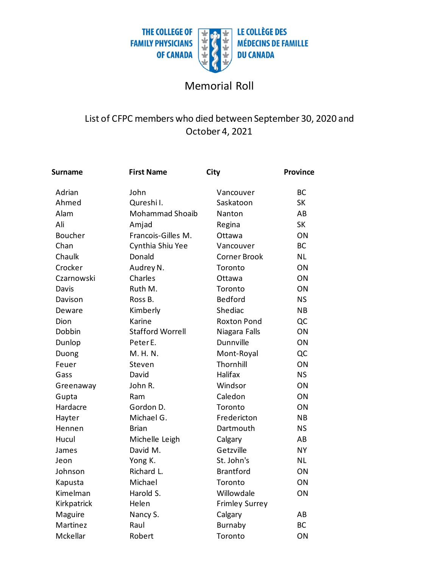

## Memorial Roll

## List of CFPC members who died between September 30, 2020 and October 4, 2021

| <b>Surname</b> | <b>First Name</b>       | City                  | <b>Province</b> |
|----------------|-------------------------|-----------------------|-----------------|
| Adrian         | John                    | Vancouver             | <b>BC</b>       |
| Ahmed          | Qureshil.               | Saskatoon             | <b>SK</b>       |
| Alam           | <b>Mohammad Shoaib</b>  | Nanton                | AB              |
| Ali            | Amjad                   | Regina                | <b>SK</b>       |
| <b>Boucher</b> | Francois-Gilles M.      | Ottawa                | ON              |
| Chan           | Cynthia Shiu Yee        | Vancouver             | <b>BC</b>       |
| Chaulk         | Donald                  | <b>Corner Brook</b>   | <b>NL</b>       |
| Crocker        | Audrey N.               | Toronto               | ON              |
| Czarnowski     | Charles                 | Ottawa                | ON              |
| Davis          | Ruth M.                 | Toronto               | ON              |
| Davison        | Ross B.                 | Bedford               | <b>NS</b>       |
| Deware         | Kimberly                | Shediac               | <b>NB</b>       |
| Dion           | Karine                  | <b>Roxton Pond</b>    | QC              |
| Dobbin         | <b>Stafford Worrell</b> | Niagara Falls         | ON              |
| Dunlop         | Peter E.                | Dunnville             | ON              |
| Duong          | M. H. N.                | Mont-Royal            | QC              |
| Feuer          | Steven                  | Thornhill             | ON              |
| Gass           | David                   | Halifax               | <b>NS</b>       |
| Greenaway      | John R.                 | Windsor               | ON              |
| Gupta          | Ram                     | Caledon               | ON              |
| Hardacre       | Gordon D.               | Toronto               | ON              |
| Hayter         | Michael G.              | Fredericton           | <b>NB</b>       |
| Hennen         | <b>Brian</b>            | Dartmouth             | <b>NS</b>       |
| Hucul          | Michelle Leigh          | Calgary               | AB              |
| James          | David M.                | Getzville             | <b>NY</b>       |
| Jeon           | Yong K.                 | St. John's            | <b>NL</b>       |
| Johnson        | Richard L.              | <b>Brantford</b>      | ON              |
| Kapusta        | Michael                 | Toronto               | ON              |
| Kimelman       | Harold S.               | Willowdale            | ON              |
| Kirkpatrick    | Helen                   | <b>Frimley Surrey</b> |                 |
| Maguire        | Nancy S.                | Calgary               | AB              |
| Martinez       | Raul                    | Burnaby               | <b>BC</b>       |
| Mckellar       | Robert                  | Toronto               | ON              |